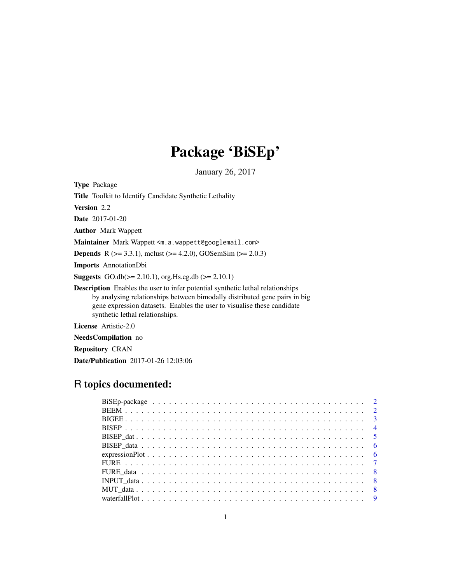# Package 'BiSEp'

January 26, 2017

Type Package

Title Toolkit to Identify Candidate Synthetic Lethality

Version 2.2

Date 2017-01-20

Author Mark Wappett

Maintainer Mark Wappett <m.a.wappett@googlemail.com>

**Depends** R ( $>= 3.3.1$ ), mclust ( $>= 4.2.0$ ), GOSemSim ( $>= 2.0.3$ )

Imports AnnotationDbi

**Suggests** GO.db( $>= 2.10.1$ ), org. Hs.eg.db ( $>= 2.10.1$ )

Description Enables the user to infer potential synthetic lethal relationships by analysing relationships between bimodally distributed gene pairs in big gene expression datasets. Enables the user to visualise these candidate synthetic lethal relationships.

License Artistic-2.0

NeedsCompilation no

Repository CRAN

Date/Publication 2017-01-26 12:03:06

# R topics documented: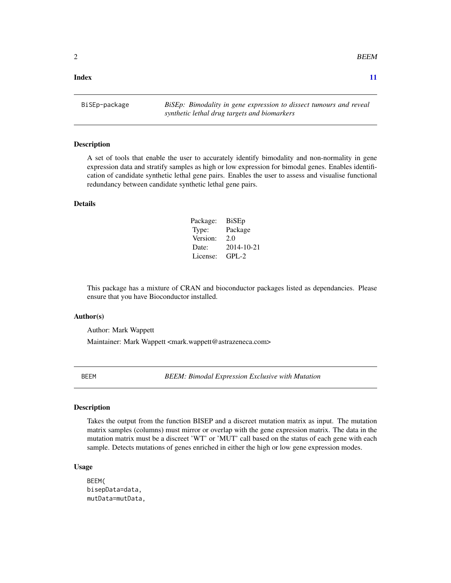<span id="page-1-0"></span> $2$  BEEM

### **Index** [11](#page-10-0)

BiSEp-package *BiSEp: Bimodality in gene expression to dissect tumours and reveal synthetic lethal drug targets and biomarkers*

# Description

A set of tools that enable the user to accurately identify bimodality and non-normality in gene expression data and stratify samples as high or low expression for bimodal genes. Enables identification of candidate synthetic lethal gene pairs. Enables the user to assess and visualise functional redundancy between candidate synthetic lethal gene pairs.

#### Details

| Package: | <b>BiSEp</b> |
|----------|--------------|
| Type:    | Package      |
| Version: | 2.0          |
| Date:    | 2014-10-21   |
| License: | $GPI - 2$    |

This package has a mixture of CRAN and bioconductor packages listed as dependancies. Please ensure that you have Bioconductor installed.

#### Author(s)

Author: Mark Wappett

Maintainer: Mark Wappett <mark.wappett@astrazeneca.com>

BEEM *BEEM: Bimodal Expression Exclusive with Mutation*

# **Description**

Takes the output from the function BISEP and a discreet mutation matrix as input. The mutation matrix samples (columns) must mirror or overlap with the gene expression matrix. The data in the mutation matrix must be a discreet 'WT' or 'MUT' call based on the status of each gene with each sample. Detects mutations of genes enriched in either the high or low gene expression modes.

#### Usage

```
BEEM(
bisepData=data,
mutData=mutData,
```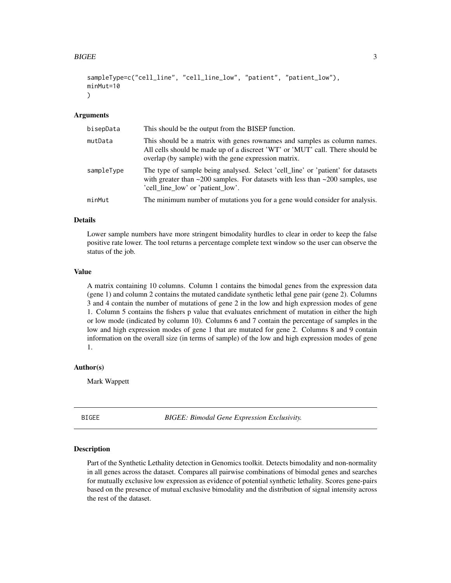#### <span id="page-2-0"></span>BIGEE 3

```
sampleType=c("cell_line", "cell_line_low", "patient", "patient_low"),
minMut=10
)
```
#### Arguments

| bisepData  | This should be the output from the BISEP function.                                                                                                                                                                |
|------------|-------------------------------------------------------------------------------------------------------------------------------------------------------------------------------------------------------------------|
| mutData    | This should be a matrix with genes rownames and samples as column names.<br>All cells should be made up of a discreet 'WT' or 'MUT' call. There should be<br>overlap (by sample) with the gene expression matrix. |
| sampleType | The type of sample being analysed. Select 'cell_line' or 'patient' for datasets<br>with greater than $\sim$ 200 samples. For datasets with less than $\sim$ 200 samples, use<br>'cell_line_low' or 'patient_low'. |
| minMut     | The minimum number of mutations you for a gene would consider for analysis.                                                                                                                                       |

# Details

Lower sample numbers have more stringent bimodality hurdles to clear in order to keep the false positive rate lower. The tool returns a percentage complete text window so the user can observe the status of the job.

# Value

A matrix containing 10 columns. Column 1 contains the bimodal genes from the expression data (gene 1) and column 2 contains the mutated candidate synthetic lethal gene pair (gene 2). Columns 3 and 4 contain the number of mutations of gene 2 in the low and high expression modes of gene 1. Column 5 contains the fishers p value that evaluates enrichment of mutation in either the high or low mode (indicated by column 10). Columns 6 and 7 contain the percentage of samples in the low and high expression modes of gene 1 that are mutated for gene 2. Columns 8 and 9 contain information on the overall size (in terms of sample) of the low and high expression modes of gene 1.

#### Author(s)

Mark Wappett

BIGEE *BIGEE: Bimodal Gene Expression Exclusivity.*

#### Description

Part of the Synthetic Lethality detection in Genomics toolkit. Detects bimodality and non-normality in all genes across the dataset. Compares all pairwise combinations of bimodal genes and searches for mutually exclusive low expression as evidence of potential synthetic lethality. Scores gene-pairs based on the presence of mutual exclusive bimodality and the distribution of signal intensity across the rest of the dataset.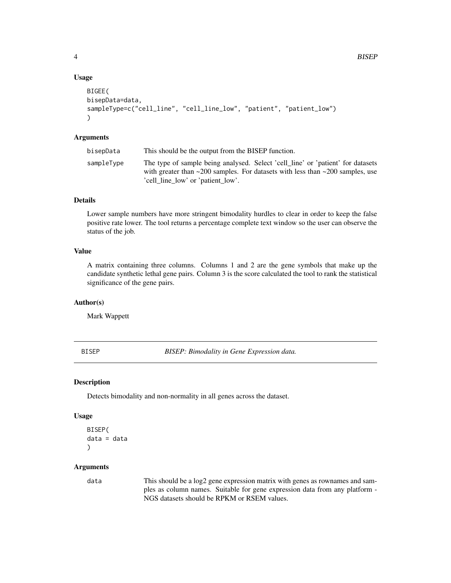# Usage

```
BIGEE(
bisepData=data,
sampleType=c("cell_line", "cell_line_low", "patient", "patient_low")
)
```
# Arguments

| bisepData  | This should be the output from the BISEP function.                                                                                                                                                                      |
|------------|-------------------------------------------------------------------------------------------------------------------------------------------------------------------------------------------------------------------------|
| sampleType | The type of sample being analysed. Select 'cell_line' or 'patient' for datasets<br>with greater than $\approx$ 200 samples. For datasets with less than $\approx$ 200 samples, use<br>'cell line low' or 'patient low'. |

# Details

Lower sample numbers have more stringent bimodality hurdles to clear in order to keep the false positive rate lower. The tool returns a percentage complete text window so the user can observe the status of the job.

# Value

A matrix containing three columns. Columns 1 and 2 are the gene symbols that make up the candidate synthetic lethal gene pairs. Column 3 is the score calculated the tool to rank the statistical significance of the gene pairs.

#### Author(s)

Mark Wappett

BISEP *BISEP: Bimodality in Gene Expression data.*

#### Description

Detects bimodality and non-normality in all genes across the dataset.

#### Usage

```
BISEP(
data = data
\lambda
```
# Arguments

data This should be a log2 gene expression matrix with genes as rownames and samples as column names. Suitable for gene expression data from any platform - NGS datasets should be RPKM or RSEM values.

<span id="page-3-0"></span>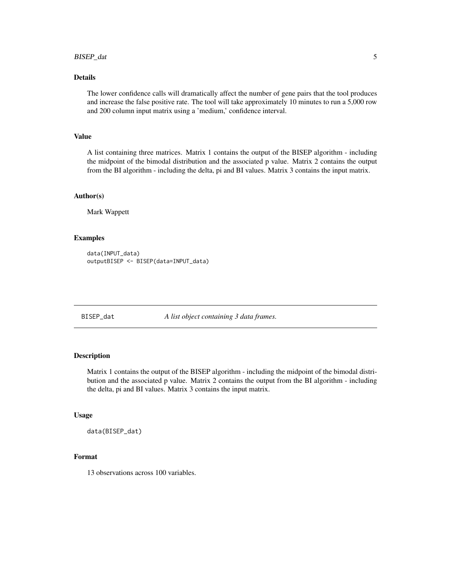# <span id="page-4-0"></span>BISEP\_dat 5

# Details

The lower confidence calls will dramatically affect the number of gene pairs that the tool produces and increase the false positive rate. The tool will take approximately 10 minutes to run a 5,000 row and 200 column input matrix using a 'medium,' confidence interval.

# Value

A list containing three matrices. Matrix 1 contains the output of the BISEP algorithm - including the midpoint of the bimodal distribution and the associated p value. Matrix 2 contains the output from the BI algorithm - including the delta, pi and BI values. Matrix 3 contains the input matrix.

#### Author(s)

Mark Wappett

#### Examples

```
data(INPUT_data)
outputBISEP <- BISEP(data=INPUT_data)
```
BISEP\_dat *A list object containing 3 data frames.*

# Description

Matrix 1 contains the output of the BISEP algorithm - including the midpoint of the bimodal distribution and the associated p value. Matrix 2 contains the output from the BI algorithm - including the delta, pi and BI values. Matrix 3 contains the input matrix.

#### Usage

data(BISEP\_dat)

# Format

13 observations across 100 variables.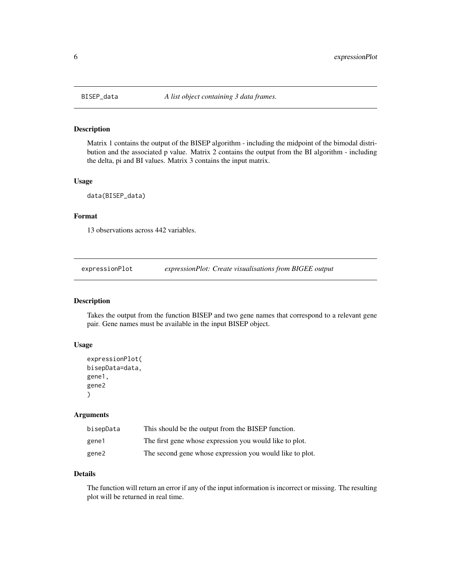<span id="page-5-0"></span>

# Description

Matrix 1 contains the output of the BISEP algorithm - including the midpoint of the bimodal distribution and the associated p value. Matrix 2 contains the output from the BI algorithm - including the delta, pi and BI values. Matrix 3 contains the input matrix.

# Usage

data(BISEP\_data)

# Format

13 observations across 442 variables.

expressionPlot *expressionPlot: Create visualisations from BIGEE output*

# Description

Takes the output from the function BISEP and two gene names that correspond to a relevant gene pair. Gene names must be available in the input BISEP object.

# Usage

```
expressionPlot(
bisepData=data,
gene1,
gene2
)
```
#### Arguments

| bisepData | This should be the output from the BISEP function.       |
|-----------|----------------------------------------------------------|
| gene1     | The first gene whose expression you would like to plot.  |
| gene2     | The second gene whose expression you would like to plot. |

# Details

The function will return an error if any of the input information is incorrect or missing. The resulting plot will be returned in real time.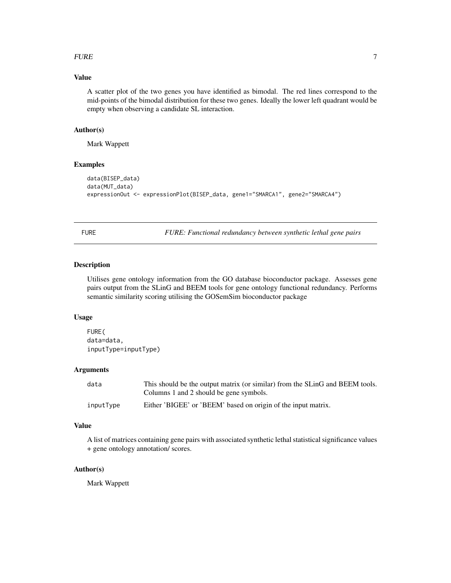#### <span id="page-6-0"></span> $FURE$  and  $7$

# Value

A scatter plot of the two genes you have identified as bimodal. The red lines correspond to the mid-points of the bimodal distribution for these two genes. Ideally the lower left quadrant would be empty when observing a candidate SL interaction.

# Author(s)

Mark Wappett

#### Examples

```
data(BISEP_data)
data(MUT_data)
expressionOut <- expressionPlot(BISEP_data, gene1="SMARCA1", gene2="SMARCA4")
```
FURE *FURE: Functional redundancy between synthetic lethal gene pairs*

# Description

Utilises gene ontology information from the GO database bioconductor package. Assesses gene pairs output from the SLinG and BEEM tools for gene ontology functional redundancy. Performs semantic similarity scoring utilising the GOSemSim bioconductor package

# Usage

```
FURE(
data=data,
inputType=inputType)
```
#### Arguments

| data      | This should be the output matrix (or similar) from the SLinG and BEEM tools. |
|-----------|------------------------------------------------------------------------------|
|           | Columns 1 and 2 should be gene symbols.                                      |
| inputType | Either 'BIGEE' or 'BEEM' based on origin of the input matrix.                |

# Value

A list of matrices containing gene pairs with associated synthetic lethal statistical significance values + gene ontology annotation/ scores.

# Author(s)

Mark Wappett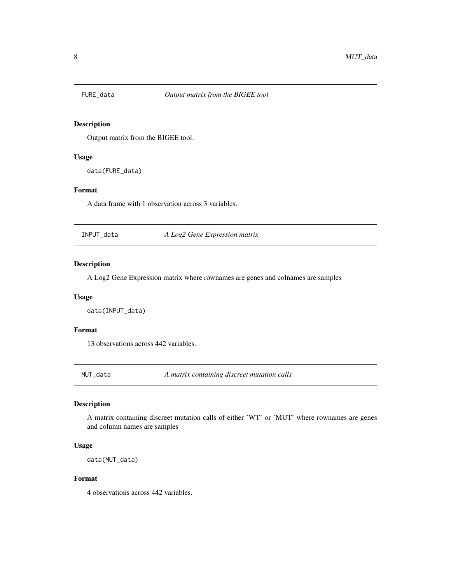<span id="page-7-0"></span>

# Description

Output matrix from the BIGEE tool.

# Usage

data(FURE\_data)

# Format

A data frame with 1 observation across 3 variables.

INPUT\_data *A Log2 Gene Expression matrix*

# Description

A Log2 Gene Expression matrix where rownames are genes and colnames are samples

#### Usage

data(INPUT\_data)

# Format

13 observations across 442 variables.

MUT\_data *A matrix containing discreet mutation calls*

### Description

A matrix containing discreet mutation calls of either 'WT' or 'MUT' where rownames are genes and column names are samples

# Usage

data(MUT\_data)

# Format

4 observations across 442 variables.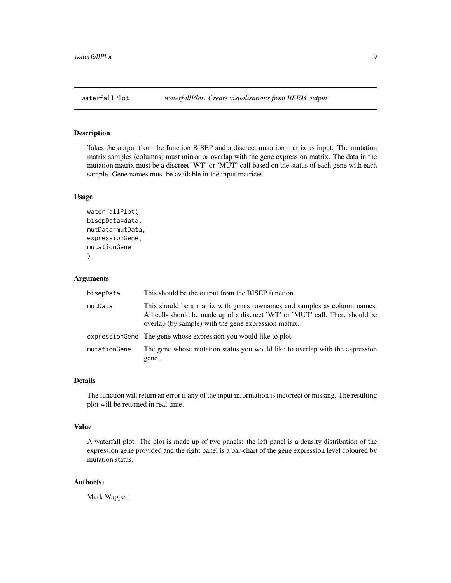<span id="page-8-0"></span>

# Description

Takes the output from the function BISEP and a discreet mutation matrix as input. The mutation matrix samples (columns) must mirror or overlap with the gene expression matrix. The data in the mutation matrix must be a discreet 'WT' or 'MUT' call based on the status of each gene with each sample. Gene names must be available in the input matrices.

# Usage

```
waterfallPlot(
bisepData=data,
mutData=mutData,
expressionGene,
mutationGene
)
```
# Arguments

| bisepData    | This should be the output from the BISEP function.                                                                                                                                                                |
|--------------|-------------------------------------------------------------------------------------------------------------------------------------------------------------------------------------------------------------------|
| mutData      | This should be a matrix with genes rownames and samples as column names.<br>All cells should be made up of a discreet 'WT' or 'MUT' call. There should be<br>overlap (by sample) with the gene expression matrix. |
|              | expression Gene The gene whose expression you would like to plot.                                                                                                                                                 |
| mutationGene | The gene whose mutation status you would like to overlap with the expression<br>gene.                                                                                                                             |

# Details

The function will return an error if any of the input information is incorrect or missing. The resulting plot will be returned in real time.

#### Value

A waterfall plot. The plot is made up of two panels: the left panel is a density distribution of the expression gene provided and the right panel is a bar-chart of the gene expression level coloured by mutation status.

# Author(s)

Mark Wappett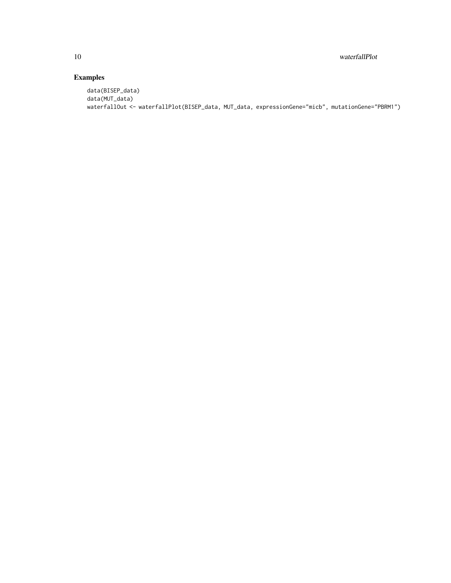# Examples

```
data(BISEP_data)
data(MUT_data)
waterfallOut <- waterfallPlot(BISEP_data, MUT_data, expressionGene="micb", mutationGene="PBRM1")
```